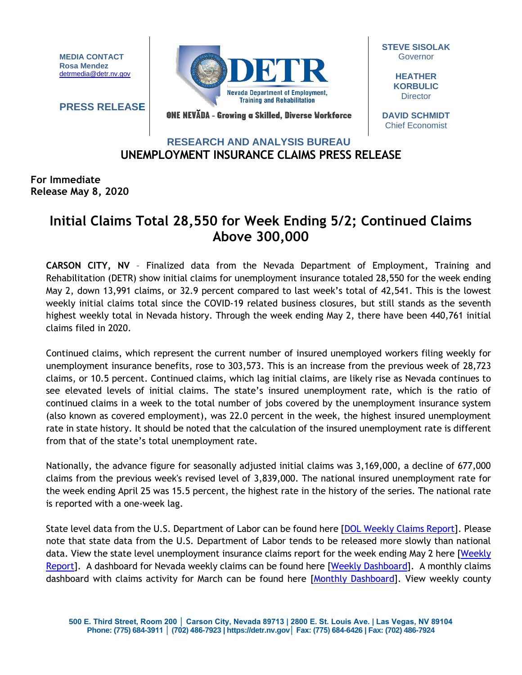**MEDIA CONTACT Rosa Mendez** [detrmedia@detr.nv.gov](mailto:detrmedia@detr.nv.gov)

**PRESS RELEASE**



**STEVE SISOLAK Governor** 

> **HEATHER KORBULIC Director**

ONE NEVĂDA - Growing a Skilled, Diverse Workforce

**DAVID SCHMIDT** Chief Economist

## **UNEMPLOYMENT INSURANCE CLAIMS PRESS RELEASE RESEARCH AND ANALYSIS BUREAU**

**For Immediate Release May 8, 2020** 

## **Initial Claims Total 28,550 for Week Ending 5/2; Continued Claims Above 300,000**

**CARSON CITY, NV** – Finalized data from the Nevada Department of Employment, Training and Rehabilitation (DETR) show initial claims for unemployment insurance totaled 28,550 for the week ending May 2, down 13,991 claims, or 32.9 percent compared to last week's total of 42,541. This is the lowest weekly initial claims total since the COVID-19 related business closures, but still stands as the seventh highest weekly total in Nevada history. Through the week ending May 2, there have been 440,761 initial claims filed in 2020.

Continued claims, which represent the current number of insured unemployed workers filing weekly for unemployment insurance benefits, rose to 303,573. This is an increase from the previous week of 28,723 claims, or 10.5 percent. Continued claims, which lag initial claims, are likely rise as Nevada continues to see elevated levels of initial claims. The state's insured unemployment rate, which is the ratio of continued claims in a week to the total number of jobs covered by the unemployment insurance system (also known as covered employment), was 22.0 percent in the week, the highest insured unemployment rate in state history. It should be noted that the calculation of the insured unemployment rate is different from that of the state's total unemployment rate.

Nationally, the advance figure for seasonally adjusted initial claims was 3,169,000, a decline of 677,000 claims from the previous week's revised level of 3,839,000. The national insured unemployment rate for the week ending April 25 was 15.5 percent, the highest rate in the history of the series. The national rate is reported with a one-week lag.

State level data from the U.S. Department of Labor can be found here [\[DOL Weekly Claims Report\]](https://oui.doleta.gov/unemploy/claims_arch.asp). Please note that state data from the U.S. Department of Labor tends to be released more slowly than national data. View the state level unemployment insurance claims report for the week ending May 2 here [\[Weekly](http://nvlmi.mt.gov/Portals/197/UI%20Monthly%20Claims%20Press%20Release/Dashboards/State%20of%20Nevada%20UI%20Weekly%20Filing%20Report.pdf)  [Report\]](http://nvlmi.mt.gov/Portals/197/UI%20Monthly%20Claims%20Press%20Release/Dashboards/State%20of%20Nevada%20UI%20Weekly%20Filing%20Report.pdf). A dashboard for Nevada weekly claims can be found here [\[Weekly Dashboard\]](http://nvlmi.mt.gov/Portals/197/UI%20Monthly%20Claims%20Press%20Release/Dashboards/UIWeeklyDashboard.html). A monthly claims dashboard with claims activity for March can be found here [\[Monthly Dashboard\]](http://nvlmi.mt.gov/Portals/197/UI%20Monthly%20Claims%20Press%20Release/Dashboards/UIMonthlyDashboard.html). View weekly county